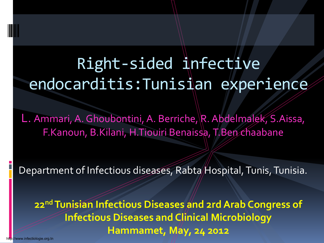# Right-sided infective endocarditis:Tunisian experience

L. Ammari, A. Ghoubontini, A. Berriche, R. Abdelmalek, S. Aissa, F.Kanoun, B.Kilani, H.Tiouiri Benaissa, T.Ben chaabane

Department of Infectious diseases, Rabta Hospital, Tunis, Tunisia.

**22ndTunisian Infectious Diseases and 2rd Arab Congress of Infectious Diseases and Clinical Microbiology Hammamet, May, 24 2012**

http://www.infectiologie.org.tn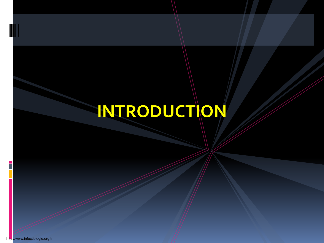# **INTRODUCTION**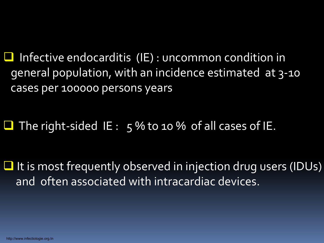$\Box$  Infective endocarditis (IE) : uncommon condition in general population, with an incidence estimated at 3-10 cases per 100000 persons years

The right-sided IE:  $5\%$  to 10 % of all cases of IE.

 $\Box$  It is most frequently observed in injection drug users (IDUs) and often associated with intracardiac devices.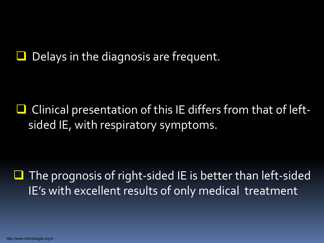Delays in the diagnosis are frequent.

 Clinical presentation of this IE differs from that of leftsided IE, with respiratory symptoms.

 $\Box$  The prognosis of right-sided IE is better than left-sided IE's with excellent results of only medical treatment

http://www.infectiologie.org.tn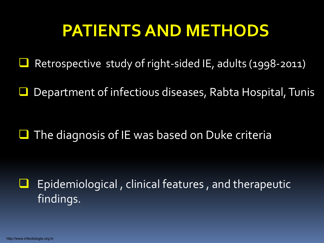# **PATIENTS AND METHODS**

Retrospective study of right-sided IE, adults (1998-2011)

Department of infectious diseases, Rabta Hospital, Tunis

 $\Box$  The diagnosis of IE was based on Duke criteria

 Epidemiological , clinical features , and therapeutic findings.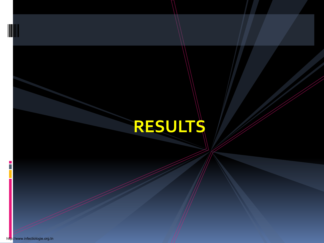# **RESULTS**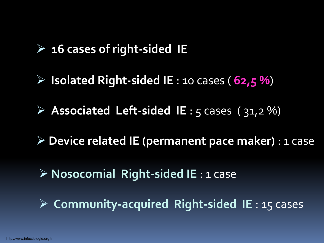#### **16 cases of right-sided IE**

- $\triangleright$  **Isolated Right-sided IE** : 10 cases ( $62,5\%$ )
- **Associated Left-sided IE** : 5 cases ( 31,2 %)
- **Device related IE (permanent pace maker)** : 1 case
- **Nosocomial Right-sided IE** : 1 case
- **Community-acquired Right-sided IE** : 15 cases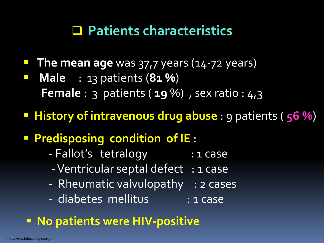### **Patients characteristics**

- **The mean age** was 37,7 years (14-72 years)
- **Male** : 13 patients (**81 %**) **Female** : 3 patients ( **19** %) , sex ratio : 4,3
- **History of intravenous drug abuse** : 9 patients ( **56 %**)
- **Predisposing condition of IE** :
	- Fallot's tetralogy : 1 case
	- Ventricular septal defect : 1 case
	- Rheumatic valvulopathy : 2 cases
	- diabetes mellitus : 1 case

### **No patients were HIV-positive**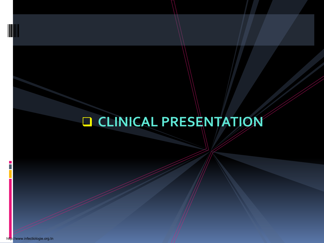# **CLINICAL PRESENTATION**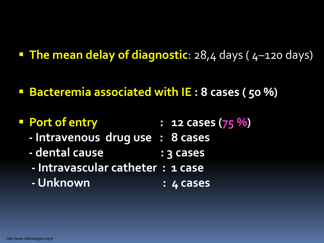- **The mean delay of diagnostic**: 28,4 days (4-120 days)
- **Bacteremia associated with IE : 8 cases ( 50 %)**

### **Port of entry : 12 cases (75 %)**

- **- Intravenous drug use : 8 cases**
- **dental cause : 3 cases**
- **- Intravascular catheter : 1 case**
- **- Unknown : 4 cases**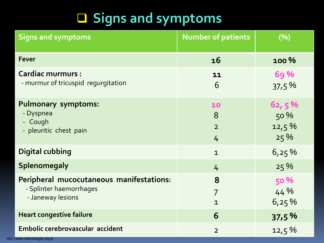## **Signs and symptoms**

| <b>Signs and symptoms</b>                                                                | <b>Number of patients</b>           | (%)                              |
|------------------------------------------------------------------------------------------|-------------------------------------|----------------------------------|
| <b>Fever</b>                                                                             | 16                                  | 100 %                            |
| <b>Cardiac murmurs:</b><br>- murmur of tricuspid regurgitation                           | 11<br>6                             | <b>69%</b><br>37,5%              |
| <b>Pulmonary symptoms:</b><br>- Dyspnea<br>- Cough<br>- pleuritic chest pain             | 10<br>8<br>$\overline{2}$<br>4      | 62, 5 %<br>50 %<br>12,5%<br>25 % |
| <b>Digital cubbing</b>                                                                   | $\mathbf{1}$                        | 6,25%                            |
| Splenomegaly                                                                             | $\frac{1}{4}$                       | 25 %                             |
| Peripheral mucocutaneous manifestations:<br>- Splinter haemorrhages<br>- Janeway lesions | 8<br>$\overline{7}$<br>$\mathbf{1}$ | <b>50 %</b><br>44%<br>6,25%      |
| <b>Heart congestive failure</b>                                                          | 6                                   | 37,5%                            |
| Embolic cerebrovascular accident                                                         | $\overline{2}$                      | 12,5%                            |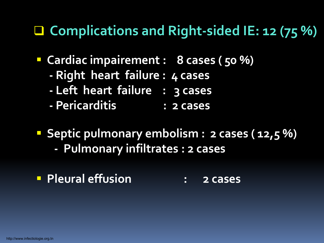### **Complications and Right-sided IE: 12 (75 %)**

- **Cardiac impairement : 8 cases ( 50 %)**
	- **- Right heart failure : 4 cases**
	- **- Left heart failure : 3 cases**
	- **Pericarditis : 2 cases**
- **Septic pulmonary embolism : 2 cases (12,5 %)** 
	- **- Pulmonary infiltrates : 2 cases**
- **Pleural effusion : 2 cases**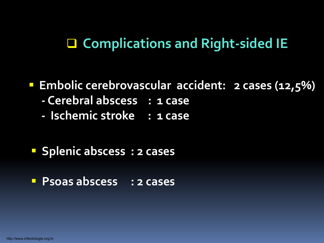### **Complications and Right-sided IE**

#### **Embolic cerebrovascular accident: 2 cases (12,5%)**

- **- Cerebral abscess : 1 case**
- **- Ischemic stroke : 1 case**

#### **Splenic abscess : 2 cases**

**Psoas abscess : 2 cases**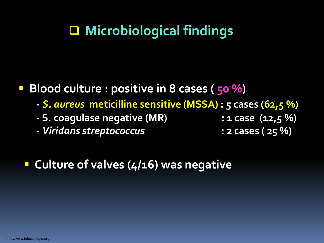## **Microbiological findings**

**Blood culture : positive in 8 cases (50 %)** 

- **-** *S. aureus* **meticilline sensitive (MSSA) : 5 cases (62,5 %)**
- **- S. coagulase negative (MR) : 1 case (12,5 %)**
- **-** *Viridans streptococcus* **: 2 cases ( 25 %)**

**Culture of valves (4/16) was negative**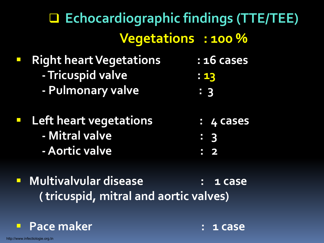# **Echocardiographic findings (TTE/TEE) Vegetations : 100 %**

- **Right heart Vegetations : 16 cases - Tricuspid valve : 13 - Pulmonary valve : 3 Left heart vegetations : 4 cases - Mitral valve : 3 -Aortic valve : 2**
- **Multivalvular disease : 1 case ( tricuspid, mitral and aortic valves)**

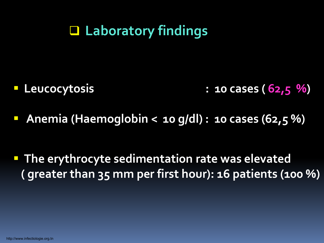### **Laboratory findings**

- **Leucocytosis : 10 cases ( 62,5 %)**
- **Anemia (Haemoglobin < 10 g/dl) : 10 cases (62,5 %)**

**The erythrocyte sedimentation rate was elevated ( greater than 35 mm per first hour): 16 patients (100 %)**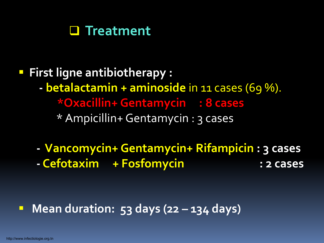

 **First ligne antibiotherapy : - betalactamin + aminoside** in 11 cases (69 %). **\*Oxacillin+ Gentamycin : 8 cases** \* Ampicillin+ Gentamycin : 3 cases

**- Vancomycin+ Gentamycin+ Rifampicin : 3 cases - Cefotaxim + Fosfomycin : 2 cases**

**Mean duration: 53 days (22 – 134 days)**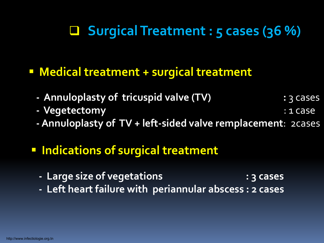## **Surgical Treatment : 5 cases (36 %)**

#### **Medical treatment + surgical treatment**

- **Annuloplasty of tricuspid valve (TV) :** 3 cases
- **- Vegetectomy** : 1 case
- **Annuloplasty of TV + left-sided valve remplacement**: 2cases

### **F** Indications of surgical treatment

- **- Large size of vegetations : 3 cases**
- **- Left heart failure with periannular abscess : 2 cases**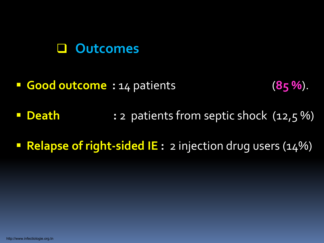#### **Outcomes**

- **Good outcome :** 14 patients (**85 %**).
- **Death :** 2 patients from septic shock (12,5 %)
- **Relapse of right-sided IE:** 2 injection drug users (14%)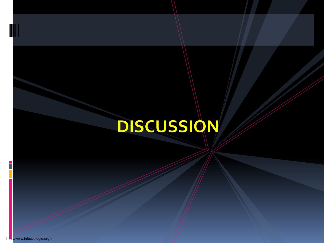# **DISCUSSION**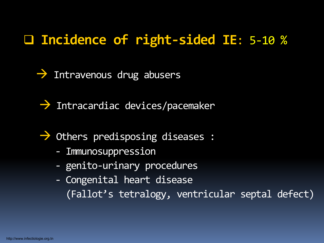### **Incidence of right-sided IE**: 5-10 %

 $\rightarrow$  Intravenous drug abusers

 $\rightarrow$  Intracardiac devices/pacemaker

 $\rightarrow$  Others predisposing diseases :

- Immunosuppression
- genito-urinary procedures
- Congenital heart disease (Fallot's tetralogy, ventricular septal defect)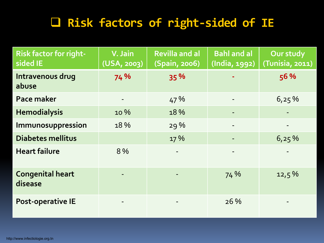### **Risk factors of right-sided of IE**

| <b>Risk factor for right-</b><br>sided IE | V. Jain<br>(USA, 2003)   | <b>Revilla and al</b><br>(Spain, 2006) | <b>Bahl and al</b><br>(India, 1992) | Our study<br>(Tunisia, 2011) |
|-------------------------------------------|--------------------------|----------------------------------------|-------------------------------------|------------------------------|
| Intravenous drug<br>abuse                 | 74 %                     | 35 %                                   | ٠                                   | 56 %                         |
| Pace maker                                | $\overline{\phantom{a}}$ | 47 %                                   | $\overline{\phantom{a}}$            | 6,25%                        |
| <b>Hemodialysis</b>                       | 10 %                     | 18%                                    |                                     |                              |
| Immunosuppression                         | 18 %                     | 29%                                    |                                     |                              |
| <b>Diabetes mellitus</b>                  |                          | 17 %                                   |                                     | 6,25%                        |
| <b>Heart failure</b>                      | 8 %                      |                                        |                                     |                              |
| <b>Congenital heart</b><br>disease        |                          |                                        | 74 %                                | 12,5%                        |
| Post-operative IE                         |                          |                                        | 26 %                                |                              |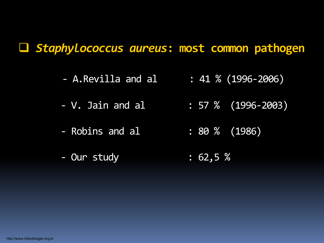#### *Staphylococcus aureus***: most common pathogen**

- $-$  A.Revilla and al : 41 % (1996-2006)
- V. Jain and al : 57 % (1996-2003)
- Robins and al : 80 % (1986)
- Our study : 62,5 %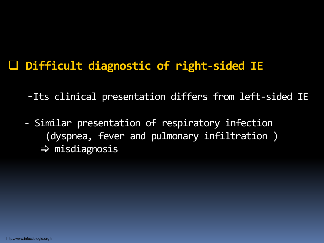### **Difficult diagnostic of right-sided IE**

- -Its clinical presentation differs from left-sided IE
- Similar presentation of respiratory infection (dyspnea, fever and pulmonary infiltration )  $\Rightarrow$  misdiagnosis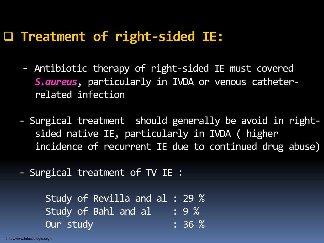### **Treatment of right-sided IE:**

- Antibiotic therapy of right-sided IE must covered *S.aureus*, particularly in IVDA or venous catheterrelated infection
- Surgical treatment should generally be avoid in rightsided native IE, particularly in IVDA ( higher incidence of recurrent IE due to continued drug abuse)
- Surgical treatment of TV IE :

Study of Revilla and al : 29 % Study of Bahl and al : 9 % Our study : 36 %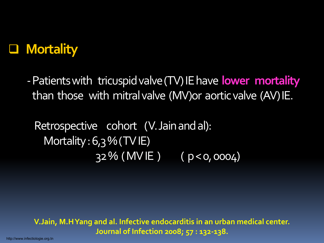

- Patients with tricuspid valve (TV) IE have **lower mortality** than those with mitral valve (MV)or aorticvalve (AV) IE.

Retrospective cohort (V. Jain and al): Mortality:  $6,3\%$  (TV IE) 32 % ( MV IE ) ( p < 0, 0004)

**V.Jain, M.H Yang and al. Infective endocarditis in an urban medical center. Journal of Infection 2008; 57 : 132-138.**

http://www.infectiologie.org.tn